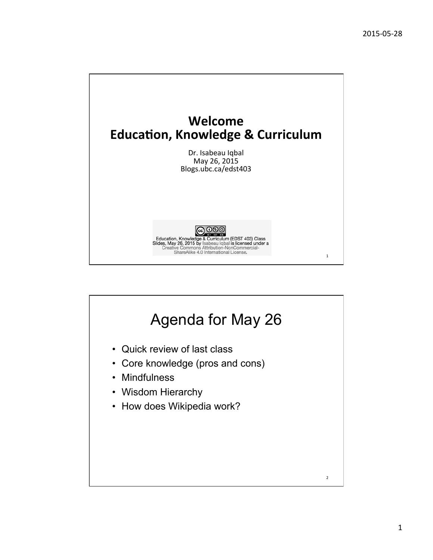

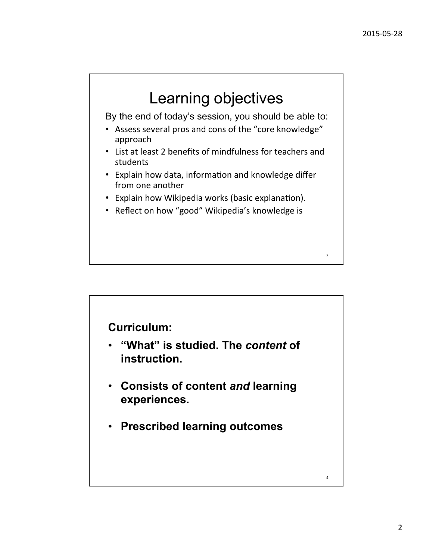4 

# Learning objectives

By the end of today's session, you should be able to:

- Assess several pros and cons of the "core knowledge" approach
- List at least 2 benefits of mindfulness for teachers and students
- Explain how data, information and knowledge differ from one another
- Explain how Wikipedia works (basic explanation).
- Reflect on how "good" Wikipedia's knowledge is

#### **Curriculum:**

- **"What" is studied. The** *content* **of instruction.**
- **Consists of content** *and* **learning experiences.**
- **Prescribed learning outcomes**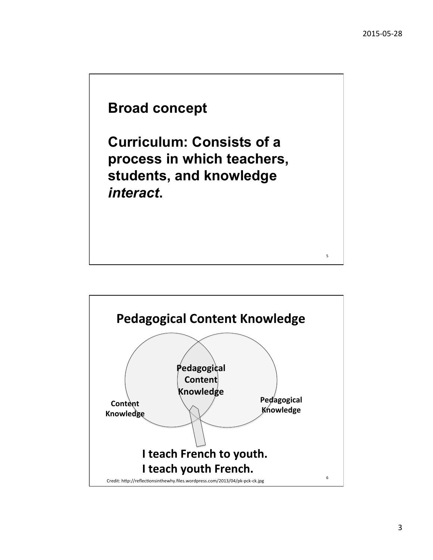

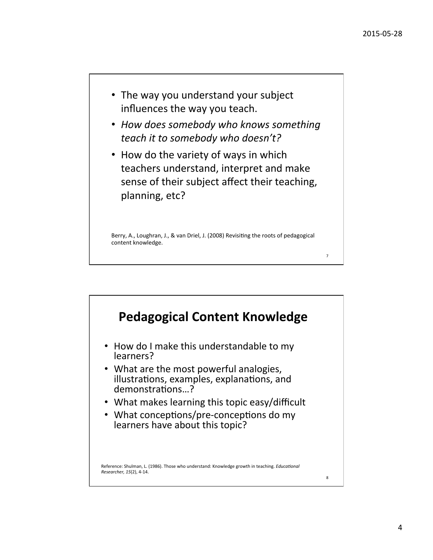

- *How does somebody who knows something teach it to somebody who doesn't?*
- How do the variety of ways in which teachers understand, interpret and make sense of their subject affect their teaching, planning, etc?

Berry, A., Loughran, J., & van Driel, J. (2008) Revisiting the roots of pedagogical content knowledge.

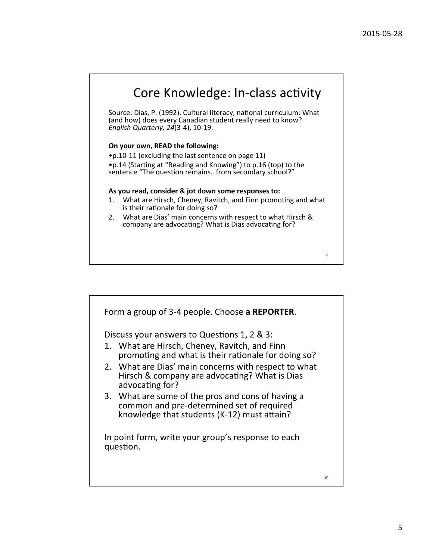

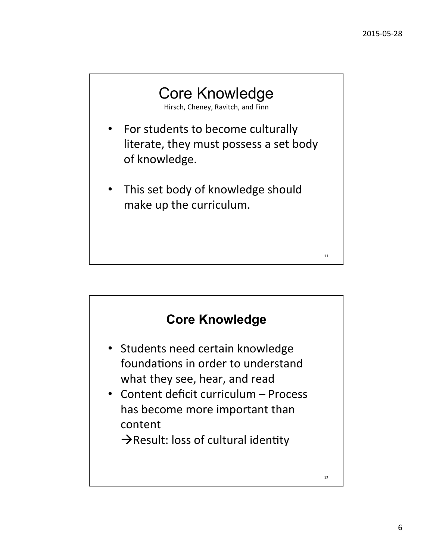12 



Hirsch, Cheney, Ravitch, and Finn

- For students to become culturally literate, they must possess a set body of knowledge.
- This set body of knowledge should make up the curriculum.

#### **Core Knowledge**

- Students need certain knowledge foundations in order to understand what they see, hear, and read
- Content deficit curriculum Process has become more important than content

 $\rightarrow$ Result: loss of cultural identity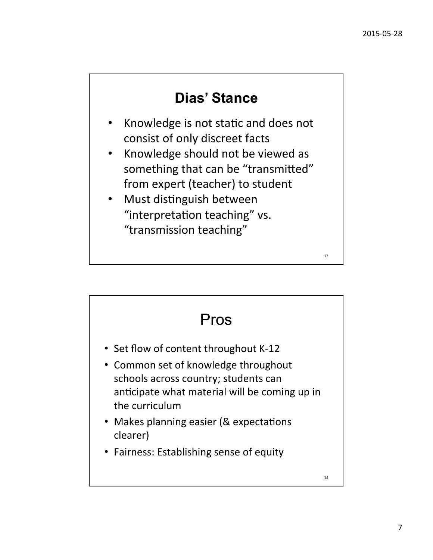#### **Dias' Stance**

- Knowledge is not static and does not consist of only discreet facts
- Knowledge should not be viewed as something that can be "transmitted" from expert (teacher) to student
- Must distinguish between "interpretation teaching" vs. "transmission teaching"

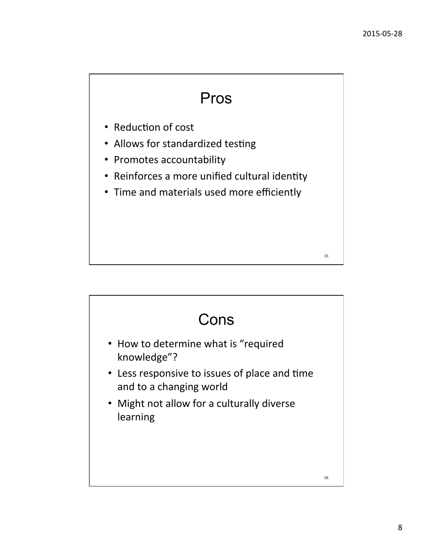## Pros

- Reduction of cost
- Allows for standardized testing
- Promotes accountability
- Reinforces a more unified cultural identity
- Time and materials used more efficiently

# • How to determine what is "required knowledge"? • Less responsive to issues of place and time and to a changing world • Might not allow for a culturally diverse learning 16 Cons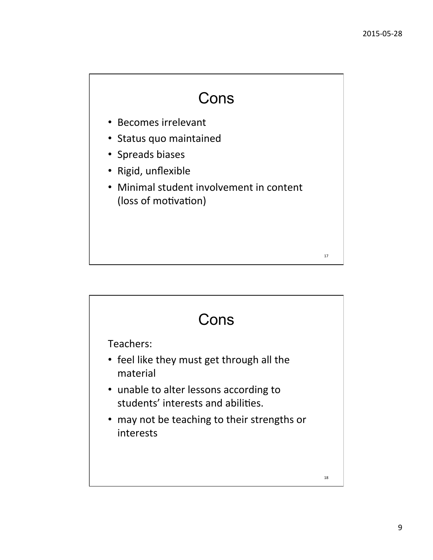### Cons

- Becomes irrelevant
- Status quo maintained
- Spreads biases
- Rigid, unflexible
- Minimal student involvement in content (loss of motivation)

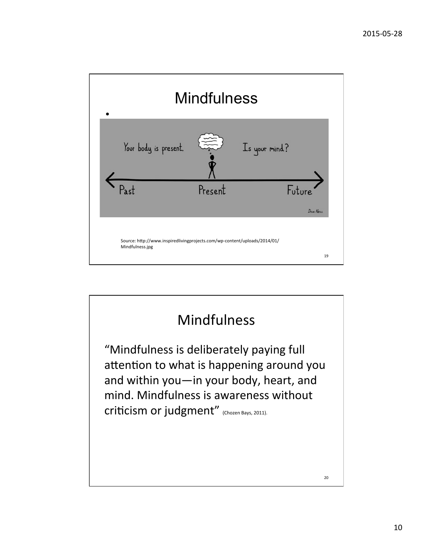

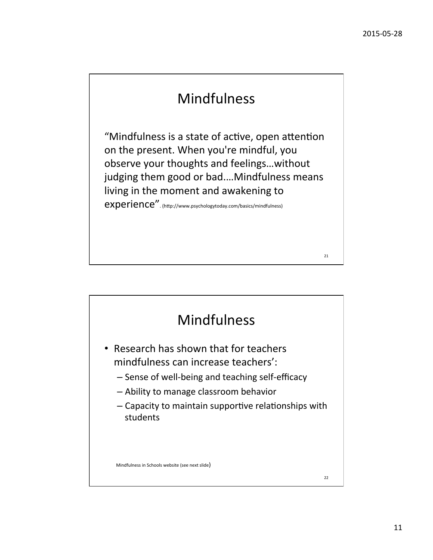### Mindfulness

"Mindfulness is a state of active, open attention on the present. When you're mindful, you observe your thoughts and feelings...without judging them good or bad....Mindfulness means living in the moment and awakening to experience". (http://www.psychologytoday.com/basics/mindfulness)

#### Mindfulness

- Research has shown that for teachers mindfulness can increase teachers':
	- Sense of well-being and teaching self-efficacy
	- Ability to manage classroom behavior
	- $-$  Capacity to maintain supportive relationships with students

Mindfulness in Schools website (see next slide)

22 

21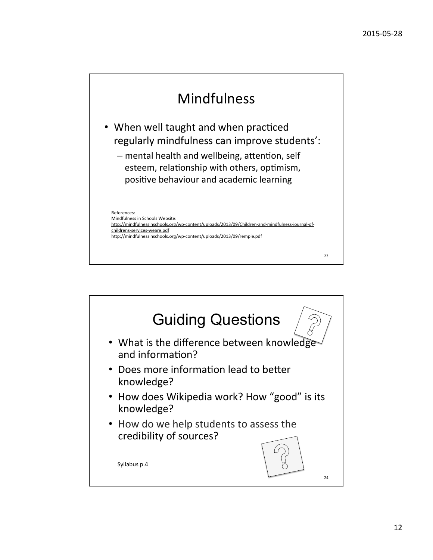

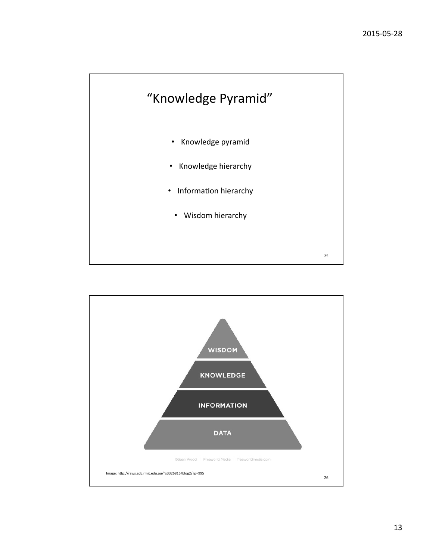

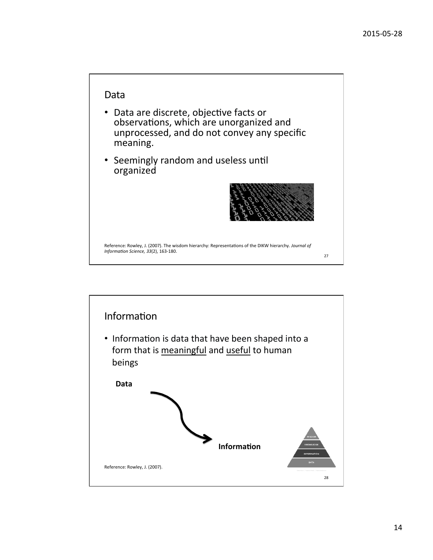

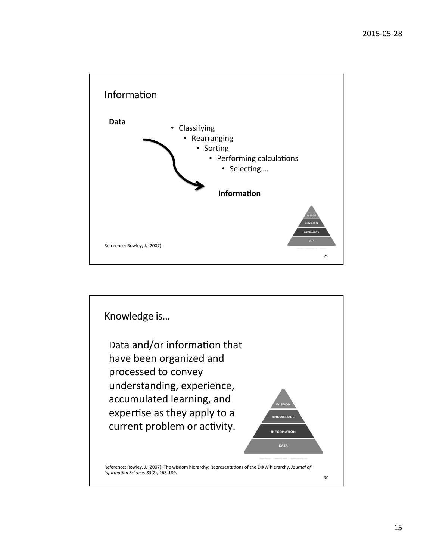

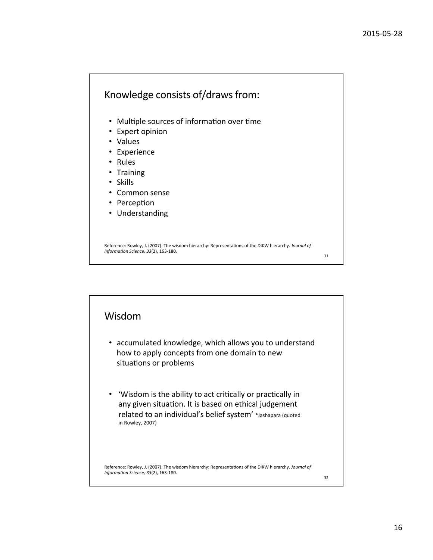

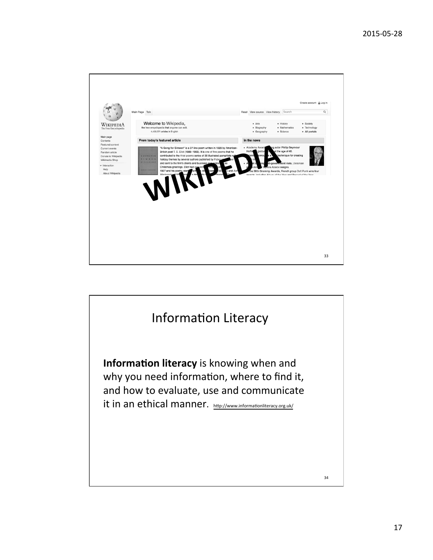

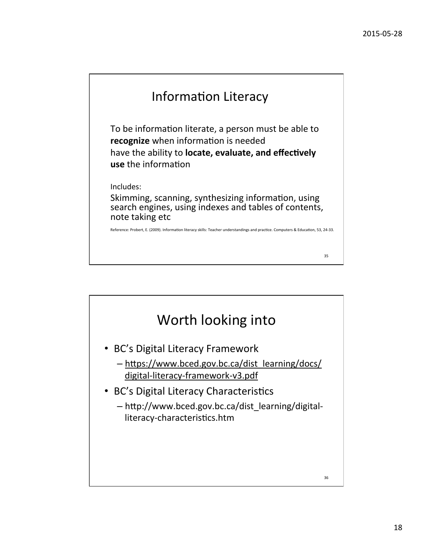

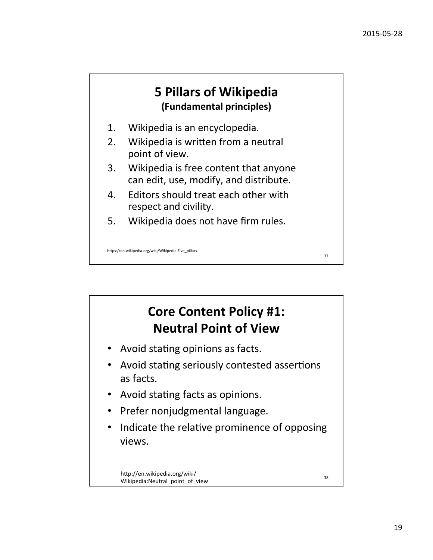#### **5 Pillars of Wikipedia (Fundamental principles)**

- 1. Wikipedia is an encyclopedia.
- 2. Wikipedia is written from a neutral point of view.
- 3. Wikipedia is free content that anyone can edit, use, modify, and distribute.
- 4. Editors should treat each other with respect and civility.
- 5. Wikipedia does not have firm rules.

https://en.wikipedia.org/wiki/Wikipedia:Five\_pillars

## **Core Content Policy #1: Neutral Point of View** • Avoid stating opinions as facts. • Avoid stating seriously contested assertions as facts. • Avoid stating facts as opinions. • Prefer nonjudgmental language. Indicate the relative prominence of opposing views. http://en.wikipedia.org/wiki/ Wikipedia:Neutral\_point\_of\_view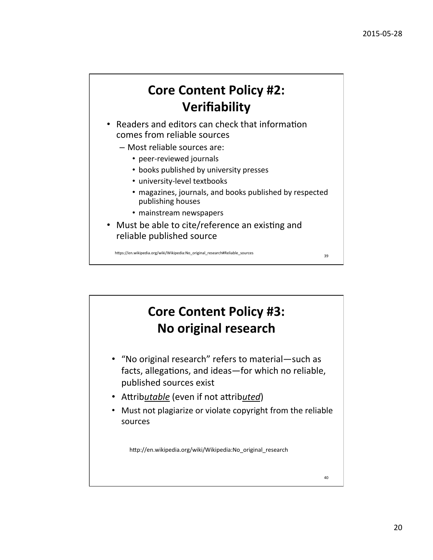#### **Core Content Policy #2: Verifiability**

- Readers and editors can check that information comes from reliable sources
	- $-$  Most reliable sources are:
		- peer-reviewed journals
		- books published by university presses
		- university-level textbooks
		- magazines, journals, and books published by respected publishing houses
		- mainstream newspapers
- Must be able to cite/reference an existing and reliable published source

https://en.wikipedia.org/wiki/Wikipedia:No\_original\_research#Reliable\_sources<br>39

40 

## **Core Content Policy #3: No original research**

- "No original research" refers to material-such as facts, allegations, and ideas—for which no reliable, published sources exist
- Attributable (even if not attributed)
- Must not plagiarize or violate copyright from the reliable sources

http://en.wikipedia.org/wiki/Wikipedia:No\_original\_research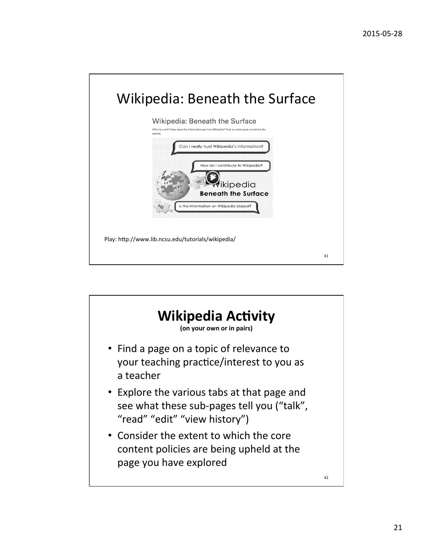

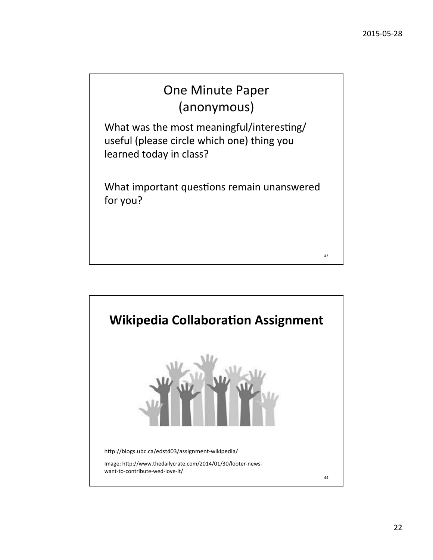#### One Minute Paper (anonymous)

What was the most meaningful/interesting/ useful (please circle which one) thing you learned today in class?

What important questions remain unanswered for you?

43